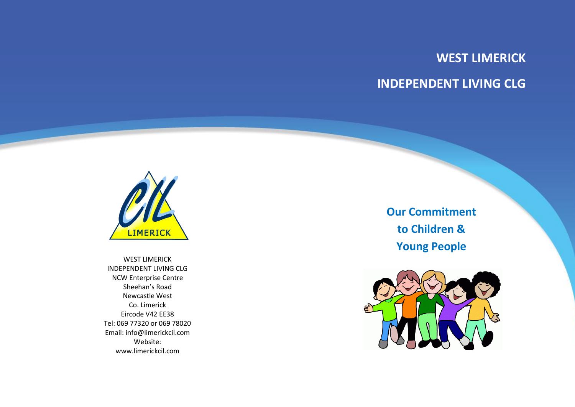## **WEST LIMERICK INDEPENDENT LIVING CLG**



WEST LIMERICK INDEPENDENT LIVING CLG NCW Enterprise Centre Sheehan's Road Newcastle West Co. Limerick Eircode V42 EE38 Tel: 069 77320 or 069 78020 Email: info@limerickcil.com Website: www.limerickcil.com

**Our Commitment to Children & Young People**